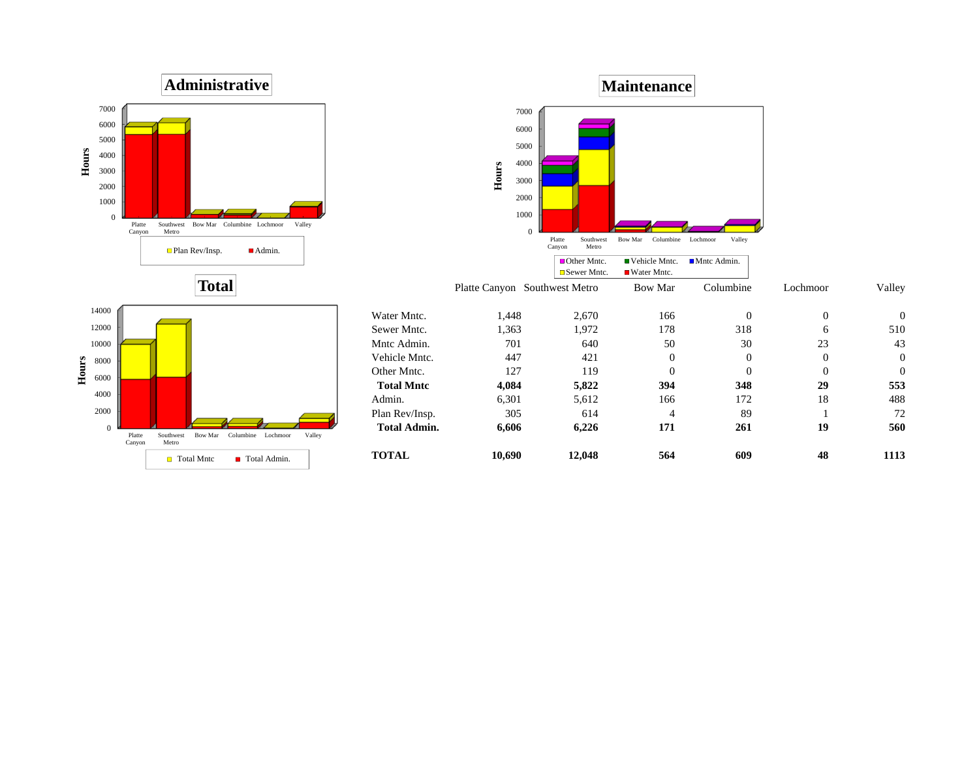



**Maintenance**

60007000

43

 $\boldsymbol{0}$ 

 $\boldsymbol{0}$ 



**Total**